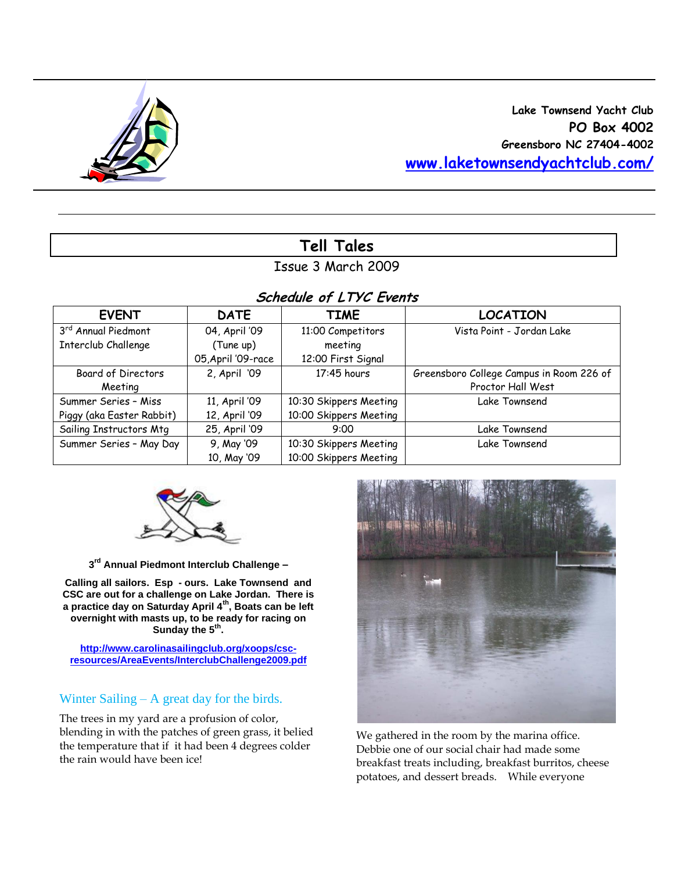

# **Lake Townsend Yacht Club PO Box 4002 Greensboro NC 27404-4002 [www.laketownsendyachtclub.com/](http://www.laketownsendyachtclub.com/)**

# **Tell Tales**

## Issue 3 March 2009

## **Schedule of LTYC Events**

| <b>EVENT</b>                    | <b>DATE</b>        | <b>TIME</b>            | <b>LOCATION</b>                          |  |  |  |  |  |
|---------------------------------|--------------------|------------------------|------------------------------------------|--|--|--|--|--|
| 3 <sup>rd</sup> Annual Piedmont | 04, April '09      | 11:00 Competitors      | Vista Point - Jordan Lake                |  |  |  |  |  |
| Interclub Challenge             | (Tune up)          | meeting                |                                          |  |  |  |  |  |
|                                 | 05, April '09-race | 12:00 First Signal     |                                          |  |  |  |  |  |
| Board of Directors              | 2, April '09       | 17:45 hours            | Greensboro College Campus in Room 226 of |  |  |  |  |  |
| Meeting                         |                    |                        | Proctor Hall West                        |  |  |  |  |  |
| Summer Series - Miss            | 11, April '09      | 10:30 Skippers Meeting | Lake Townsend                            |  |  |  |  |  |
| Piggy (aka Easter Rabbit)       | 12, April '09      | 10:00 Skippers Meeting |                                          |  |  |  |  |  |
| Sailing Instructors Mtg         | 25, April '09      | 9:00                   | Lake Townsend                            |  |  |  |  |  |
| Summer Series - May Day         | 9, May '09         | 10:30 Skippers Meeting | Lake Townsend                            |  |  |  |  |  |
|                                 | 10, May '09        | 10:00 Skippers Meeting |                                          |  |  |  |  |  |



**3 rd Annual Piedmont Interclub Challenge –**

**Calling all sailors. Esp - ours. Lake Townsend and CSC are out for a challenge on Lake Jordan. There is a practice day on Saturday April 4th, Boats can be left overnight with masts up, to be ready for racing on Sunday the 5th .** 

**[http://www.carolinasailingclub.org/xoops/csc](http://www.carolinasailingclub.org/xoops/csc-resources/AreaEvents/InterclubChallenge2009.pdf)[resources/AreaEvents/InterclubChallenge2009.pdf](http://www.carolinasailingclub.org/xoops/csc-resources/AreaEvents/InterclubChallenge2009.pdf)**

# Winter Sailing – A great day for the birds.

The trees in my yard are a profusion of color, blending in with the patches of green grass, it belied the temperature that if it had been 4 degrees colder the rain would have been ice!



We gathered in the room by the marina office. Debbie one of our social chair had made some breakfast treats including, breakfast burritos, cheese potatoes, and dessert breads. While everyone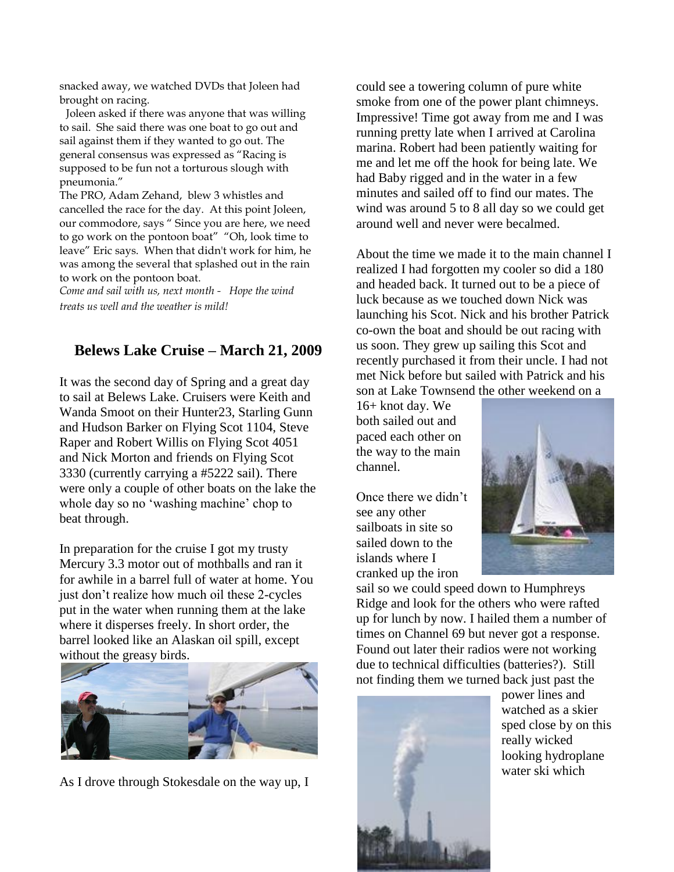snacked away, we watched DVDs that Joleen had brought on racing.

 Joleen asked if there was anyone that was willing to sail. She said there was one boat to go out and sail against them if they wanted to go out. The general consensus was expressed as "Racing is supposed to be fun not a torturous slough with pneumonia."

The PRO, Adam Zehand, blew 3 whistles and cancelled the race for the day. At this point Joleen, our commodore, says " Since you are here, we need to go work on the pontoon boat" "Oh, look time to leave" Eric says. When that didn't work for him, he was among the several that splashed out in the rain to work on the pontoon boat.

*Come and sail with us, next month - Hope the wind treats us well and the weather is mild!* 

# **Belews Lake Cruise – March 21, 2009**

It was the second day of Spring and a great day to sail at Belews Lake. Cruisers were Keith and Wanda Smoot on their Hunter23, Starling Gunn and Hudson Barker on Flying Scot 1104, Steve Raper and Robert Willis on Flying Scot 4051 and Nick Morton and friends on Flying Scot 3330 (currently carrying a #5222 sail). There were only a couple of other boats on the lake the whole day so no 'washing machine' chop to beat through.

In preparation for the cruise I got my trusty Mercury 3.3 motor out of mothballs and ran it for awhile in a barrel full of water at home. You just don't realize how much oil these 2-cycles put in the water when running them at the lake where it disperses freely. In short order, the barrel looked like an Alaskan oil spill, except without the greasy birds.



As I drove through Stokesdale on the way up, I

could see a towering column of pure white smoke from one of the power plant chimneys. Impressive! Time got away from me and I was running pretty late when I arrived at Carolina marina. Robert had been patiently waiting for me and let me off the hook for being late. We had Baby rigged and in the water in a few minutes and sailed off to find our mates. The wind was around 5 to 8 all day so we could get around well and never were becalmed.

About the time we made it to the main channel I realized I had forgotten my cooler so did a 180 and headed back. It turned out to be a piece of luck because as we touched down Nick was launching his Scot. Nick and his brother Patrick co-own the boat and should be out racing with us soon. They grew up sailing this Scot and recently purchased it from their uncle. I had not met Nick before but sailed with Patrick and his son at Lake Townsend the other weekend on a

16+ knot day. We both sailed out and paced each other on the way to the main channel.

Once there we didn't see any other sailboats in site so sailed down to the islands where I cranked up the iron



sail so we could speed down to Humphreys Ridge and look for the others who were rafted up for lunch by now. I hailed them a number of times on Channel 69 but never got a response. Found out later their radios were not working due to technical difficulties (batteries?). Still not finding them we turned back just past the



power lines and watched as a skier sped close by on this really wicked looking hydroplane water ski which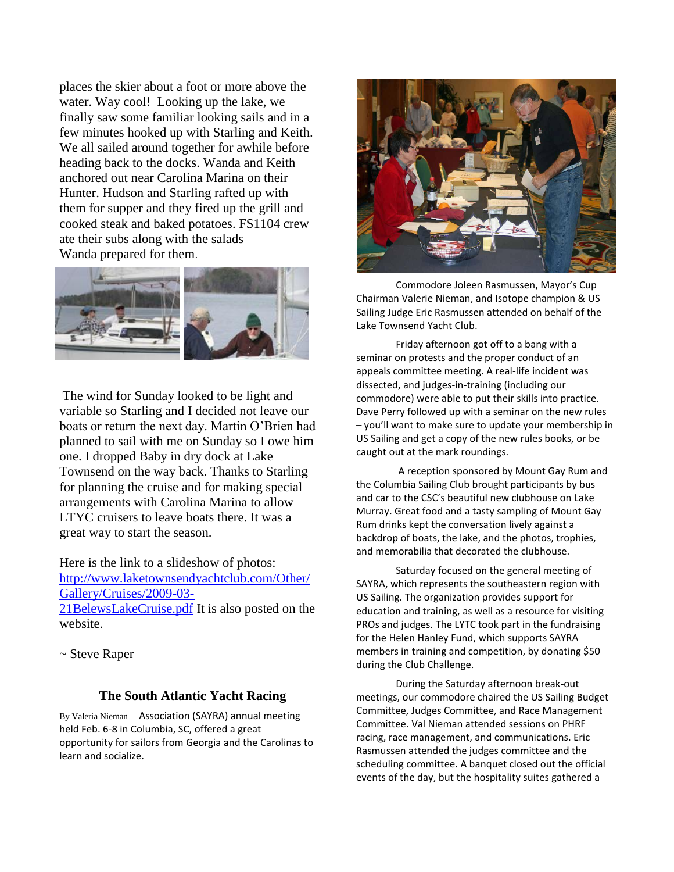places the skier about a foot or more above the water. Way cool! Looking up the lake, we finally saw some familiar looking sails and in a few minutes hooked up with Starling and Keith. We all sailed around together for awhile before heading back to the docks. Wanda and Keith anchored out near Carolina Marina on their Hunter. Hudson and Starling rafted up with them for supper and they fired up the grill and cooked steak and baked potatoes. FS1104 crew ate their subs along with the salads Wanda prepared for them.



The wind for Sunday looked to be light and variable so Starling and I decided not leave our boats or return the next day. Martin O'Brien had planned to sail with me on Sunday so I owe him one. I dropped Baby in dry dock at Lake Townsend on the way back. Thanks to Starling for planning the cruise and for making special arrangements with Carolina Marina to allow LTYC cruisers to leave boats there. It was a great way to start the season.

Here is the link to a slideshow of photos: [http://www.laketownsendyachtclub.com/Other/](http://www.laketownsendyachtclub.com/Other/Gallery/Cruises/2009-03-21BelewsLakeCruise.pdf) [Gallery/Cruises/2009-03-](http://www.laketownsendyachtclub.com/Other/Gallery/Cruises/2009-03-21BelewsLakeCruise.pdf) [21BelewsLakeCruise.pdf](http://www.laketownsendyachtclub.com/Other/Gallery/Cruises/2009-03-21BelewsLakeCruise.pdf) It is also posted on the website.

~ Steve Raper

#### **The South Atlantic Yacht Racing**

By Valeria Nieman Association (SAYRA) annual meeting held Feb. 6-8 in Columbia, SC, offered a great opportunity for sailors from Georgia and the Carolinas to learn and socialize.



Commodore Joleen Rasmussen, Mayor's Cup Chairman Valerie Nieman, and Isotope champion & US Sailing Judge Eric Rasmussen attended on behalf of the Lake Townsend Yacht Club.

Friday afternoon got off to a bang with a seminar on protests and the proper conduct of an appeals committee meeting. A real-life incident was dissected, and judges-in-training (including our commodore) were able to put their skills into practice. Dave Perry followed up with a seminar on the new rules – you'll want to make sure to update your membership in US Sailing and get a copy of the new rules books, or be caught out at the mark roundings.

A reception sponsored by Mount Gay Rum and the Columbia Sailing Club brought participants by bus and car to the CSC's beautiful new clubhouse on Lake Murray. Great food and a tasty sampling of Mount Gay Rum drinks kept the conversation lively against a backdrop of boats, the lake, and the photos, trophies, and memorabilia that decorated the clubhouse.

Saturday focused on the general meeting of SAYRA, which represents the southeastern region with US Sailing. The organization provides support for education and training, as well as a resource for visiting PROs and judges. The LYTC took part in the fundraising for the Helen Hanley Fund, which supports SAYRA members in training and competition, by donating \$50 during the Club Challenge.

During the Saturday afternoon break-out meetings, our commodore chaired the US Sailing Budget Committee, Judges Committee, and Race Management Committee. Val Nieman attended sessions on PHRF racing, race management, and communications. Eric Rasmussen attended the judges committee and the scheduling committee. A banquet closed out the official events of the day, but the hospitality suites gathered a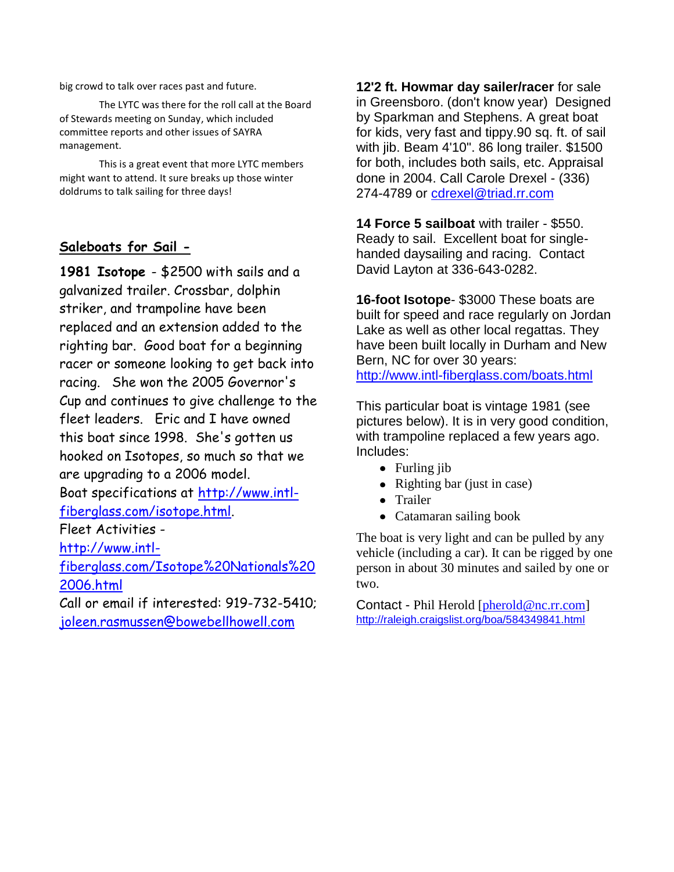big crowd to talk over races past and future.

The LYTC was there for the roll call at the Board of Stewards meeting on Sunday, which included committee reports and other issues of SAYRA management.

This is a great event that more LYTC members might want to attend. It sure breaks up those winter doldrums to talk sailing for three days!

## **Saleboats for Sail -**

**1981 Isotope** - \$2500 with sails and a galvanized trailer. Crossbar, dolphin striker, and trampoline have been replaced and an extension added to the righting bar. Good boat for a beginning racer or someone looking to get back into racing. She won the 2005 Governor's Cup and continues to give challenge to the fleet leaders. Eric and I have owned this boat since 1998. She's gotten us hooked on Isotopes, so much so that we are upgrading to a 2006 model. Boat specifications at [http://www.intl](http://www.intl-fiberglass.com/isotope.html)[fiberglass.com/isotope.html.](http://www.intl-fiberglass.com/isotope.html) Fleet Activities [http://www.intl](http://www.intl-fiberglass.com/Isotope%20Nationals%202006.html)[fiberglass.com/Isotope%20Nationals%20](http://www.intl-fiberglass.com/Isotope%20Nationals%202006.html) [2006.html](http://www.intl-fiberglass.com/Isotope%20Nationals%202006.html) Call or email if interested: 919-732-5410;

[joleen.rasmussen@bowebellhowell.com](mailto:joleen.rasmussen@bowebellhowell.com)

**12'2 ft. Howmar day sailer/racer** for sale in Greensboro. (don't know year) Designed by Sparkman and Stephens. A great boat for kids, very fast and tippy.90 sq. ft. of sail with jib. Beam 4'10". 86 long trailer. \$1500 for both, includes both sails, etc. Appraisal done in 2004. Call Carole Drexel - (336) 274-4789 or [cdrexel@triad.rr.com](mailto:cdrexel@triad.rr.com)

**14 Force 5 sailboat** with trailer - \$550. Ready to sail. Excellent boat for singlehanded daysailing and racing. Contact David Layton at 336-643-0282.

**16-foot Isotope**- \$3000 These boats are built for speed and race regularly on Jordan Lake as well as other local regattas. They have been built locally in Durham and New Bern, NC for over 30 years: <http://www.intl-fiberglass.com/boats.html>

This particular boat is vintage 1981 (see pictures below). It is in very good condition, with trampoline replaced a few years ago. Includes:

- Furling jib
- Righting bar (just in case)
- Trailer
- Catamaran sailing book

The boat is very light and can be pulled by any vehicle (including a car). It can be rigged by one person in about 30 minutes and sailed by one or two.

Contact - Phil Herold [\[pherold@nc.rr.com\]](http://webmail.att.net/wmc/v/wm/47E997450008F710000072F722230682229B0A02D2089B9A019C04040A0DBF9A0A02070A08?cmd=ComposeTo&adr=pherold@nc.rr.com&sid=c0) [http://raleigh.craigslist.org/boa/584349841.html](http://raleigh.craigslist.org/boa/584349841.html#_blank)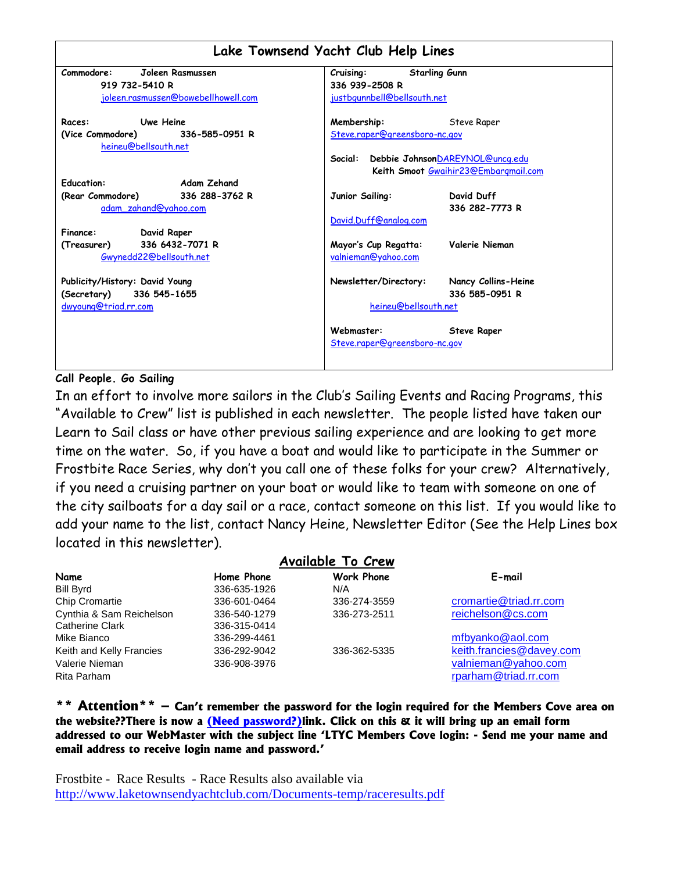| Lake Townsend Yacht Club Help Lines |                                              |  |  |  |  |  |
|-------------------------------------|----------------------------------------------|--|--|--|--|--|
| Commodore:<br>Joleen Rasmussen      | <b>Starling Gunn</b><br>Cruising:            |  |  |  |  |  |
| 919 732-5410 R                      | 336 939-2508 R                               |  |  |  |  |  |
| joleen.rasmussen@bowebellhowell.com | justbgunnbell@bellsouth.net                  |  |  |  |  |  |
| Uwe Heine<br>Races:                 | Membership:<br>Steve Raper                   |  |  |  |  |  |
| (Vice Commodore) 336-585-0951 R     | Steve.raper@greensboro-nc.gov                |  |  |  |  |  |
| heineu@bellsouth.net                |                                              |  |  |  |  |  |
|                                     | Debbie JohnsonDAREYNOL@uncg.edu<br>Social:   |  |  |  |  |  |
|                                     | Keith Smoot Gwaihir23@Embargmail.com         |  |  |  |  |  |
| <b>Education:</b><br>Adam Zehand    |                                              |  |  |  |  |  |
| (Rear Commodore) 336 288-3762 R     | David Duff<br>Junior Sailing:                |  |  |  |  |  |
| adam zahand@yahoo.com               | 336 282-7773 R                               |  |  |  |  |  |
|                                     | David.Duff@analog.com                        |  |  |  |  |  |
| David Raper<br>Finance:             |                                              |  |  |  |  |  |
| 336 6432-7071 R<br>(Treasurer)      | Valerie Nieman<br>Mayor's Cup Regatta:       |  |  |  |  |  |
| Gwynedd22@bellsouth.net             | valnieman@yahoo.com                          |  |  |  |  |  |
| Publicity/History: David Young      | Newsletter/Directory:<br>Nancy Collins-Heine |  |  |  |  |  |
| (Secretary) 336 545-1655            | 336 585-0951 R                               |  |  |  |  |  |
| dwyoung@triad.rr.com                | heineu@bellsouth.net                         |  |  |  |  |  |
|                                     | Webmaster:<br><b>Steve Raper</b>             |  |  |  |  |  |
|                                     | Steve.raper@greensboro-nc.gov                |  |  |  |  |  |
|                                     |                                              |  |  |  |  |  |

#### **Call People. Go Sailing**

In an effort to involve more sailors in the Club"s Sailing Events and Racing Programs, this "Available to Crew" list is published in each newsletter. The people listed have taken our Learn to Sail class or have other previous sailing experience and are looking to get more time on the water. So, if you have a boat and would like to participate in the Summer or Frostbite Race Series, why don"t you call one of these folks for your crew? Alternatively, if you need a cruising partner on your boat or would like to team with someone on one of the city sailboats for a day sail or a race, contact someone on this list. If you would like to add your name to the list, contact Nancy Heine, Newsletter Editor (See the Help Lines box located in this newsletter).

|                          |              | <b>Available To Crew</b> |                          |
|--------------------------|--------------|--------------------------|--------------------------|
| Name                     | Home Phone   | <b>Work Phone</b>        | E-mail                   |
| <b>Bill Byrd</b>         | 336-635-1926 | N/A                      |                          |
| <b>Chip Cromartie</b>    | 336-601-0464 | 336-274-3559             | cromartie@triad.rr.com   |
| Cynthia & Sam Reichelson | 336-540-1279 | 336-273-2511             | reichelson@cs.com        |
| <b>Catherine Clark</b>   | 336-315-0414 |                          |                          |
| Mike Bianco              | 336-299-4461 |                          | mfbyanko@aol.com         |
| Keith and Kelly Francies | 336-292-9042 | 336-362-5335             | keith.francies@davey.com |
| Valerie Nieman           | 336-908-3976 |                          | valnieman@yahoo.com      |
| Rita Parham              |              |                          | rparham@triad.rr.com     |

**\*\* Attention\*\* – Can't remember the password for the login required for the Members Cove area on the website??There is now a (Need password?)link. Click on this & it will bring up an email form addressed to our WebMaster with the subject line 'LTYC Members Cove login: - Send me your name and email address to receive login name and password.'** 

Frostbite - Race Results - Race Results also available via <http://www.laketownsendyachtclub.com/Documents-temp/raceresults.pdf>